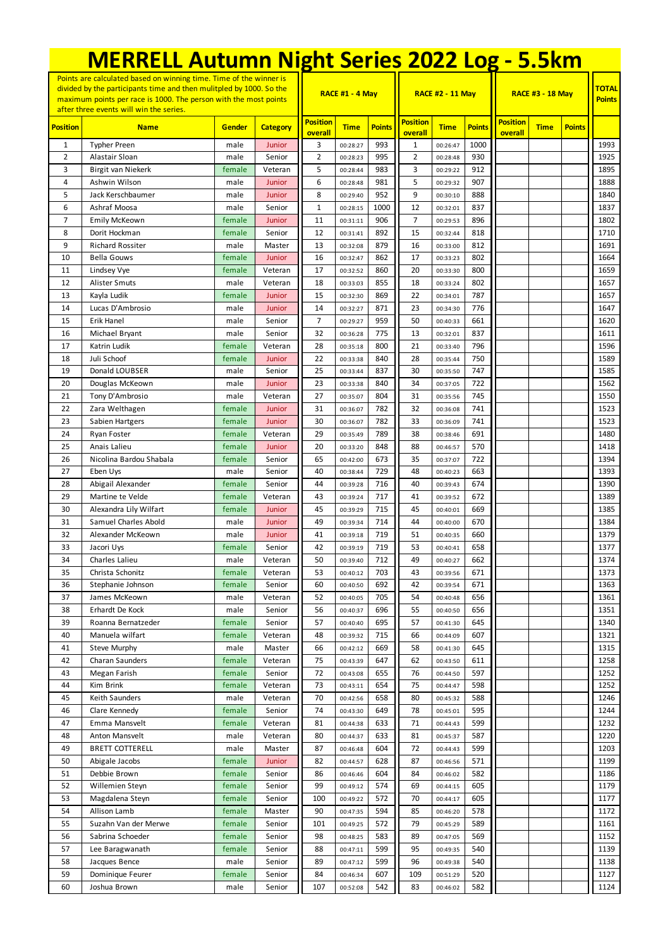| <b>MERRELL Autumn Night Series 2022 Log - 5.5km</b>                                                                                                                                                                                                      |                                    |                  |                   |                            |                      |               |                            |                         |               |                            |                               |               |              |
|----------------------------------------------------------------------------------------------------------------------------------------------------------------------------------------------------------------------------------------------------------|------------------------------------|------------------|-------------------|----------------------------|----------------------|---------------|----------------------------|-------------------------|---------------|----------------------------|-------------------------------|---------------|--------------|
| Points are calculated based on winning time. Time of the winner is<br>divided by the participants time and then mulitpled by 1000. So the<br>maximum points per race is 1000. The person with the most points<br>after three events will win the series. |                                    |                  |                   |                            | RACE #1 - 4 May      |               |                            | <b>RACE #2 - 11 May</b> |               | <b>RACE #3 - 18 May</b>    | <b>TOTAL</b><br><b>Points</b> |               |              |
| <b>Position</b>                                                                                                                                                                                                                                          | <b>Name</b>                        | Gender           | <b>Category</b>   | <b>Position</b><br>overall | <b>Time</b>          | <b>Points</b> | <b>Position</b><br>overall | <b>Time</b>             | <b>Points</b> | <b>Position</b><br>overall | <b>Time</b>                   | <b>Points</b> |              |
| 1                                                                                                                                                                                                                                                        | <b>Typher Preen</b>                | male             | Junior            | 3                          | 00:28:27             | 993           | 1                          | 00:26:47                | 1000          |                            |                               |               | 1993         |
| 2                                                                                                                                                                                                                                                        | Alastair Sloan                     | male             | Senior            | $\overline{2}$             | 00:28:23             | 995           | $\overline{2}$             | 00:28:48                | 930           |                            |                               |               | 1925         |
| 3                                                                                                                                                                                                                                                        | Birgit van Niekerk                 | female           | Veteran           | 5                          | 00:28:44             | 983           | 3                          | 00:29:22                | 912           |                            |                               |               | 1895         |
| 4                                                                                                                                                                                                                                                        | Ashwin Wilson                      | male             | Junior            | 6                          | 00:28:48             | 981           | 5                          | 00:29:32                | 907           |                            |                               |               | 1888         |
| 5                                                                                                                                                                                                                                                        | Jack Kerschbaumer                  | male             | Junior            | 8                          | 00:29:40             | 952           | 9                          | 00:30:10                | 888           |                            |                               |               | 1840         |
| 6                                                                                                                                                                                                                                                        | Ashraf Moosa                       | male             | Senior            | $1\,$                      | 00:28:15             | 1000          | 12                         | 00:32:01                | 837           |                            |                               |               | 1837         |
| $\overline{7}$<br>8                                                                                                                                                                                                                                      | Emily McKeown<br>Dorit Hockman     | female           | Junior            | 11<br>12                   | 00:31:11             | 906<br>892    | $\overline{7}$<br>15       | 00:29:53                | 896           |                            |                               |               | 1802<br>1710 |
| 9                                                                                                                                                                                                                                                        | <b>Richard Rossiter</b>            | female<br>male   | Senior<br>Master  | 13                         | 00:31:41<br>00:32:08 | 879           | 16                         | 00:32:44<br>00:33:00    | 818<br>812    |                            |                               |               | 1691         |
| 10                                                                                                                                                                                                                                                       | <b>Bella Gouws</b>                 | female           | Junior            | 16                         | 00:32:47             | 862           | 17                         | 00:33:23                | 802           |                            |                               |               | 1664         |
| 11                                                                                                                                                                                                                                                       | Lindsey Vye                        | female           | Veteran           | 17                         | 00:32:52             | 860           | 20                         | 00:33:30                | 800           |                            |                               |               | 1659         |
| 12                                                                                                                                                                                                                                                       | <b>Alister Smuts</b>               | male             | Veteran           | 18                         | 00:33:03             | 855           | 18                         | 00:33:24                | 802           |                            |                               |               | 1657         |
| 13                                                                                                                                                                                                                                                       | Kayla Ludik                        | female           | Junior            | 15                         | 00:32:30             | 869           | 22                         | 00:34:01                | 787           |                            |                               |               | 1657         |
| 14                                                                                                                                                                                                                                                       | Lucas D'Ambrosio                   | male             | Junior            | 14                         | 00:32:27             | 871           | 23                         | 00:34:30                | 776           |                            |                               |               | 1647         |
| 15                                                                                                                                                                                                                                                       | Erik Hanel                         | male             | Senior            | $\overline{7}$             | 00:29:27             | 959           | 50                         | 00:40:33                | 661           |                            |                               |               | 1620         |
| 16                                                                                                                                                                                                                                                       | Michael Bryant                     | male             | Senior            | 32                         | 00:36:28             | 775           | 13                         | 00:32:01                | 837           |                            |                               |               | 1611         |
| 17                                                                                                                                                                                                                                                       | Katrin Ludik                       | female           | Veteran           | 28                         | 00:35:18             | 800           | 21                         | 00:33:40                | 796           |                            |                               |               | 1596         |
| 18                                                                                                                                                                                                                                                       | Juli Schoof                        | female           | Junior            | 22                         | 00:33:38             | 840           | 28                         | 00:35:44                | 750           |                            |                               |               | 1589         |
| 19                                                                                                                                                                                                                                                       | Donald LOUBSER                     | male             | Senior            | 25                         | 00:33:44             | 837           | 30                         | 00:35:50                | 747           |                            |                               |               | 1585         |
| 20                                                                                                                                                                                                                                                       | Douglas McKeown                    | male             | Junior            | 23                         | 00:33:38             | 840           | 34                         | 00:37:05                | 722           |                            |                               |               | 1562         |
| 21                                                                                                                                                                                                                                                       | Tony D'Ambrosio                    | male             | Veteran           | 27                         | 00:35:07             | 804           | 31                         | 00:35:56                | 745           |                            |                               |               | 1550         |
| 22<br>23                                                                                                                                                                                                                                                 | Zara Welthagen<br>Sabien Hartgers  | female<br>female | Junior<br>Junior  | 31<br>30                   | 00:36:07<br>00:36:07 | 782<br>782    | 32<br>33                   | 00:36:08<br>00:36:09    | 741<br>741    |                            |                               |               | 1523<br>1523 |
| 24                                                                                                                                                                                                                                                       | Ryan Foster                        | female           | Veteran           | 29                         | 00:35:49             | 789           | 38                         | 00:38:46                | 691           |                            |                               |               | 1480         |
| 25                                                                                                                                                                                                                                                       | Anais Lalieu                       | female           | Junior            | 20                         | 00:33:20             | 848           | 88                         | 00:46:57                | 570           |                            |                               |               | 1418         |
| 26                                                                                                                                                                                                                                                       | Nicolina Bardou Shabala            | female           | Senior            | 65                         | 00:42:00             | 673           | 35                         | 00:37:07                | 722           |                            |                               |               | 1394         |
| 27                                                                                                                                                                                                                                                       | Eben Uys                           | male             | Senior            | 40                         | 00:38:44             | 729           | 48                         | 00:40:23                | 663           |                            |                               |               | 1393         |
| 28                                                                                                                                                                                                                                                       | Abigail Alexander                  | female           | Senior            | 44                         | 00:39:28             | 716           | 40                         | 00:39:43                | 674           |                            |                               |               | 1390         |
| 29                                                                                                                                                                                                                                                       | Martine te Velde                   | female           | Veteran           | 43                         | 00:39:24             | 717           | 41                         | 00:39:52                | 672           |                            |                               |               | 1389         |
| 30                                                                                                                                                                                                                                                       | Alexandra Lily Wilfart             | female           | Junior            | 45                         | 00:39:29             | 715           | 45                         | 00:40:01                | 669           |                            |                               |               | 1385         |
| 31                                                                                                                                                                                                                                                       | Samuel Charles Abold               | male             | Junior            | 49                         | 00:39:34             | 714           | 44                         | 00:40:00                | 670           |                            |                               |               | 1384         |
| 32                                                                                                                                                                                                                                                       | Alexander McKeown                  | male             | Junior            | 41                         | 00:39:18             | 719           | 51                         | 00:40:35                | 660           |                            |                               |               | 1379         |
| 33                                                                                                                                                                                                                                                       | Jacori Uys                         | female           | Senior            | 42                         | 00:39:19             | 719           | 53                         | 00:40:41                | 658           |                            |                               |               | 1377         |
| 34                                                                                                                                                                                                                                                       | Charles Lalieu                     | male             | Veteran           | 50                         | 00:39:40             | 712           | 49                         | 00:40:27                | 662           |                            |                               |               | 1374         |
| 35                                                                                                                                                                                                                                                       | Christa Schonitz                   | female           | Veteran           | 53                         | 00:40:12             | 703           | 43                         | 00:39:56                | 671           |                            |                               |               | 1373         |
| 36<br>37                                                                                                                                                                                                                                                 | Stephanie Johnson<br>James McKeown | female<br>male   | Senior<br>Veteran | 60<br>52                   | 00:40:50<br>00:40:05 | 692<br>705    | 42<br>54                   | 00:39:54<br>00:40:48    | 671<br>656    |                            |                               |               | 1363<br>1361 |
| 38                                                                                                                                                                                                                                                       | Erhardt De Kock                    | male             | Senior            | 56                         | 00:40:37             | 696           | 55                         | 00:40:50                | 656           |                            |                               |               | 1351         |
| 39                                                                                                                                                                                                                                                       | Roanna Bernatzeder                 | female           | Senior            | 57                         | 00:40:40             | 695           | 57                         | 00:41:30                | 645           |                            |                               |               | 1340         |
| 40                                                                                                                                                                                                                                                       | Manuela wilfart                    | female           | Veteran           | 48                         | 00:39:32             | 715           | 66                         | 00:44:09                | 607           |                            |                               |               | 1321         |
| 41                                                                                                                                                                                                                                                       | <b>Steve Murphy</b>                | male             | Master            | 66                         | 00:42:12             | 669           | 58                         | 00:41:30                | 645           |                            |                               |               | 1315         |
| 42                                                                                                                                                                                                                                                       | Charan Saunders                    | female           | Veteran           | 75                         | 00:43:39             | 647           | 62                         | 00:43:50                | 611           |                            |                               |               | 1258         |
| 43                                                                                                                                                                                                                                                       | Megan Farish                       | female           | Senior            | 72                         | 00:43:08             | 655           | 76                         | 00:44:50                | 597           |                            |                               |               | 1252         |
| 44                                                                                                                                                                                                                                                       | Kim Brink                          | female           | Veteran           | 73                         | 00:43:11             | 654           | 75                         | 00:44:47                | 598           |                            |                               |               | 1252         |
| 45                                                                                                                                                                                                                                                       | Keith Saunders                     | male             | Veteran           | 70                         | 00:42:56             | 658           | 80                         | 00:45:32                | 588           |                            |                               |               | 1246         |
| 46                                                                                                                                                                                                                                                       | Clare Kennedy                      | female           | Senior            | 74                         | 00:43:30             | 649           | 78                         | 00:45:01                | 595           |                            |                               |               | 1244         |
| 47                                                                                                                                                                                                                                                       | Emma Mansvelt                      | female           | Veteran           | 81                         | 00:44:38             | 633           | 71                         | 00:44:43                | 599           |                            |                               |               | 1232         |
| 48                                                                                                                                                                                                                                                       | Anton Mansvelt                     | male             | Veteran           | 80                         | 00:44:37             | 633           | 81                         | 00:45:37                | 587           |                            |                               |               | 1220         |
| 49                                                                                                                                                                                                                                                       | <b>BRETT COTTERELL</b>             | male             | Master            | 87                         | 00:46:48             | 604           | 72                         | 00:44:43                | 599           |                            |                               |               | 1203         |
| 50<br>51                                                                                                                                                                                                                                                 | Abigale Jacobs<br>Debbie Brown     | female<br>female | Junior<br>Senior  | 82<br>86                   | 00:44:57<br>00:46:46 | 628<br>604    | 87<br>84                   | 00:46:56<br>00:46:02    | 571<br>582    |                            |                               |               | 1199<br>1186 |
| 52                                                                                                                                                                                                                                                       | Willemien Steyn                    | female           | Senior            | 99                         | 00:49:12             | 574           | 69                         | 00:44:15                | 605           |                            |                               |               | 1179         |
| 53                                                                                                                                                                                                                                                       | Magdalena Steyn                    | female           | Senior            | 100                        | 00:49:22             | 572           | 70                         | 00:44:17                | 605           |                            |                               |               | 1177         |
| 54                                                                                                                                                                                                                                                       | Allison Lamb                       | female           | Master            | 90                         | 00:47:35             | 594           | 85                         | 00:46:20                | 578           |                            |                               |               | 1172         |
| 55                                                                                                                                                                                                                                                       | Suzahn Van der Merwe               | female           | Senior            | 101                        | 00:49:25             | 572           | 79                         | 00:45:29                | 589           |                            |                               |               | 1161         |
| 56                                                                                                                                                                                                                                                       | Sabrina Schoeder                   | female           | Senior            | 98                         | 00:48:25             | 583           | 89                         | 00:47:05                | 569           |                            |                               |               | 1152         |
| 57                                                                                                                                                                                                                                                       | Lee Baragwanath                    | female           | Senior            | 88                         | 00:47:11             | 599           | 95                         | 00:49:35                | 540           |                            |                               |               | 1139         |
| 58                                                                                                                                                                                                                                                       | Jacques Bence                      | male             | Senior            | 89                         | 00:47:12             | 599           | 96                         | 00:49:38                | 540           |                            |                               |               | 1138         |
| 59                                                                                                                                                                                                                                                       | Dominique Feurer                   | female           | Senior            | 84                         | 00:46:34             | 607           | 109                        | 00:51:29                | 520           |                            |                               |               | 1127         |
| 60                                                                                                                                                                                                                                                       | Joshua Brown                       | male             | Senior            | 107                        | 00:52:08             | 542           | 83                         | 00:46:02                | 582           |                            |                               |               | 1124         |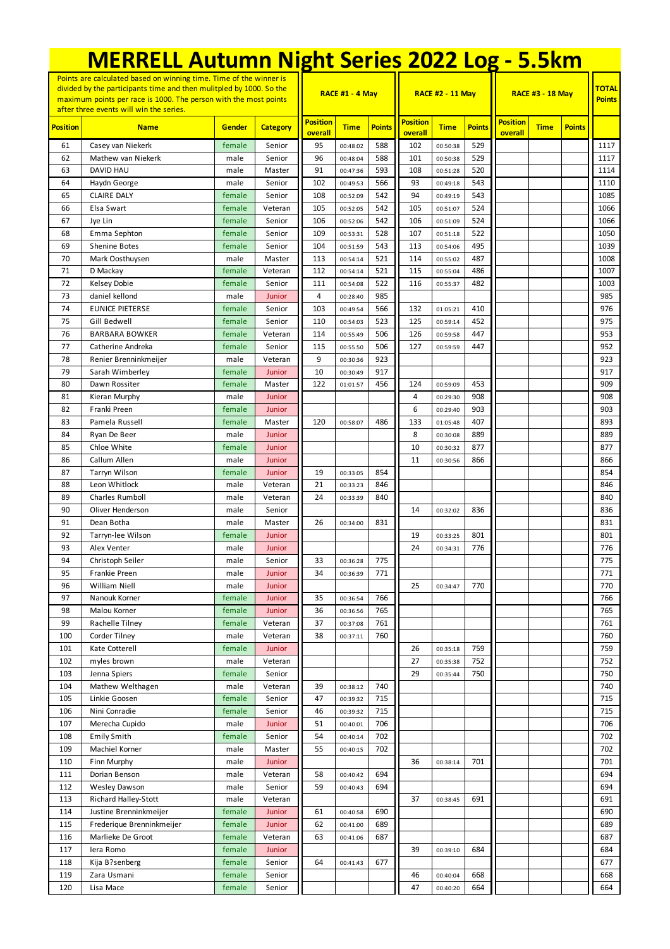| <b>MERRELL Autumn Night Series 2022 Log - 5.5km</b>                                                                                                                                                                                                      |                                                |                  |                   |                            |                        |               |                            |                         |               |                            |             |               |                               |
|----------------------------------------------------------------------------------------------------------------------------------------------------------------------------------------------------------------------------------------------------------|------------------------------------------------|------------------|-------------------|----------------------------|------------------------|---------------|----------------------------|-------------------------|---------------|----------------------------|-------------|---------------|-------------------------------|
| Points are calculated based on winning time. Time of the winner is<br>divided by the participants time and then mulitpled by 1000. So the<br>maximum points per race is 1000. The person with the most points<br>after three events will win the series. |                                                |                  |                   |                            | <b>RACE #1 - 4 May</b> |               |                            | <b>RACE #2 - 11 May</b> |               | <b>RACE #3 - 18 May</b>    |             |               | <b>TOTAL</b><br><b>Points</b> |
| <b>Position</b>                                                                                                                                                                                                                                          | <b>Name</b>                                    | Gender           | <b>Category</b>   | <b>Position</b><br>overall | <b>Time</b>            | <b>Points</b> | <b>Position</b><br>overall | <b>Time</b>             | <b>Points</b> | <b>Position</b><br>overall | <b>Time</b> | <b>Points</b> |                               |
| 61                                                                                                                                                                                                                                                       | Casey van Niekerk                              | female           | Senior            | 95                         | 00:48:02               | 588           | 102                        | 00:50:38                | 529           |                            |             |               | 1117                          |
| 62                                                                                                                                                                                                                                                       | Mathew van Niekerk                             | male             | Senior            | 96                         | 00:48:04               | 588           | 101                        | 00:50:38                | 529           |                            |             |               | 1117                          |
| 63                                                                                                                                                                                                                                                       | DAVID HAU                                      | male             | Master            | 91                         | 00:47:36               | 593           | 108                        | 00:51:28                | 520           |                            |             |               | 1114                          |
| 64                                                                                                                                                                                                                                                       | Haydn George                                   | male             | Senior            | 102                        | 00:49:53               | 566           | 93                         | 00:49:18                | 543           |                            |             |               | 1110                          |
| 65                                                                                                                                                                                                                                                       | <b>CLAIRE DALY</b>                             | female           | Senior            | 108                        | 00:52:09               | 542           | 94                         | 00:49:19                | 543           |                            |             |               | 1085                          |
| 66<br>67                                                                                                                                                                                                                                                 | Elsa Swart<br>Jye Lin                          | female<br>female | Veteran<br>Senior | 105<br>106                 | 00:52:05               | 542<br>542    | 105<br>106                 | 00:51:07<br>00:51:09    | 524<br>524    |                            |             |               | 1066<br>1066                  |
| 68                                                                                                                                                                                                                                                       | Emma Sephton                                   | female           | Senior            | 109                        | 00:52:06<br>00:53:31   | 528           | 107                        | 00:51:18                | 522           |                            |             |               | 1050                          |
| 69                                                                                                                                                                                                                                                       | Shenine Botes                                  | female           | Senior            | 104                        | 00:51:59               | 543           | 113                        | 00:54:06                | 495           |                            |             |               | 1039                          |
| 70                                                                                                                                                                                                                                                       | Mark Oosthuysen                                | male             | Master            | 113                        | 00:54:14               | 521           | 114                        | 00:55:02                | 487           |                            |             |               | 1008                          |
| 71                                                                                                                                                                                                                                                       | D Mackay                                       | female           | Veteran           | 112                        | 00:54:14               | 521           | 115                        | 00:55:04                | 486           |                            |             |               | 1007                          |
| 72                                                                                                                                                                                                                                                       | Kelsey Dobie                                   | female           | Senior            | 111                        | 00:54:08               | 522           | 116                        | 00:55:37                | 482           |                            |             |               | 1003                          |
| 73                                                                                                                                                                                                                                                       | daniel kellond                                 | male             | Junior            | 4                          | 00:28:40               | 985           |                            |                         |               |                            |             |               | 985                           |
| 74                                                                                                                                                                                                                                                       | <b>EUNICE PIETERSE</b>                         | female           | Senior            | 103                        | 00:49:54               | 566           | 132                        | 01:05:21                | 410           |                            |             |               | 976                           |
| 75                                                                                                                                                                                                                                                       | Gill Bedwell                                   | female           | Senior            | 110                        | 00:54:03               | 523           | 125                        | 00:59:14                | 452           |                            |             |               | 975                           |
| 76                                                                                                                                                                                                                                                       | <b>BARBARA BOWKER</b>                          | female           | Veteran           | 114                        | 00:55:49               | 506           | 126                        | 00:59:58                | 447           |                            |             |               | 953                           |
| 77                                                                                                                                                                                                                                                       | Catherine Andreka                              | female           | Senior<br>Veteran | 115<br>9                   | 00:55:50               | 506<br>923    | 127                        | 00:59:59                | 447           |                            |             |               | 952                           |
| 78<br>79                                                                                                                                                                                                                                                 | Renier Brenninkmeijer<br>Sarah Wimberley       | male<br>female   | Junior            | 10                         | 00:30:36<br>00:30:49   | 917           |                            |                         |               |                            |             |               | 923<br>917                    |
| 80                                                                                                                                                                                                                                                       | Dawn Rossiter                                  | female           | Master            | 122                        | 01:01:57               | 456           | 124                        | 00:59:09                | 453           |                            |             |               | 909                           |
| 81                                                                                                                                                                                                                                                       | Kieran Murphy                                  | male             | Junior            |                            |                        |               | 4                          | 00:29:30                | 908           |                            |             |               | 908                           |
| 82                                                                                                                                                                                                                                                       | Franki Preen                                   | female           | Junior            |                            |                        |               | 6                          | 00:29:40                | 903           |                            |             |               | 903                           |
| 83                                                                                                                                                                                                                                                       | Pamela Russell                                 | female           | Master            | 120                        | 00:58:07               | 486           | 133                        | 01:05:48                | 407           |                            |             |               | 893                           |
| 84                                                                                                                                                                                                                                                       | Ryan De Beer                                   | male             | Junior            |                            |                        |               | 8                          | 00:30:08                | 889           |                            |             |               | 889                           |
| 85                                                                                                                                                                                                                                                       | Chloe White                                    | female           | Junior            |                            |                        |               | 10                         | 00:30:32                | 877           |                            |             |               | 877                           |
| 86                                                                                                                                                                                                                                                       | Callum Allen                                   | male             | Junior            |                            |                        |               | 11                         | 00:30:56                | 866           |                            |             |               | 866                           |
| 87                                                                                                                                                                                                                                                       | Tarryn Wilson                                  | female           | Junior            | 19                         | 00:33:05               | 854           |                            |                         |               |                            |             |               | 854                           |
| 88                                                                                                                                                                                                                                                       | Leon Whitlock                                  | male             | Veteran           | 21                         | 00:33:23               | 846           |                            |                         |               |                            |             |               | 846                           |
| 89                                                                                                                                                                                                                                                       | <b>Charles Rumboll</b>                         | male             | Veteran           | 24                         | 00:33:39               | 840           |                            |                         |               |                            |             |               | 840                           |
| 90<br>91                                                                                                                                                                                                                                                 | Oliver Henderson                               | male             | Senior<br>Master  | 26                         |                        | 831           | 14                         | 00:32:02                | 836           |                            |             |               | 836<br>831                    |
| 92                                                                                                                                                                                                                                                       | Dean Botha<br>Tarryn-lee Wilson                | male<br>female   | Junior            |                            | 00:34:00               |               | 19                         | 00:33:25                | 801           |                            |             |               | 801                           |
| 93                                                                                                                                                                                                                                                       | Alex Venter                                    | male             | Junior            |                            |                        |               | 24                         | 00:34:31                | 776           |                            |             |               | 776                           |
| 94                                                                                                                                                                                                                                                       | Christoph Seiler                               | male             | Senior            | 33                         | 00:36:28               | 775           |                            |                         |               |                            |             |               | 775                           |
| 95                                                                                                                                                                                                                                                       | Frankie Preen                                  | male             | Junior            | 34                         | 00:36:39               | 771           |                            |                         |               |                            |             |               | 771                           |
| 96                                                                                                                                                                                                                                                       | William Niell                                  | male             | Junior            |                            |                        |               | 25                         | 00:34:47                | 770           |                            |             |               | 770                           |
| 97                                                                                                                                                                                                                                                       | Nanouk Korner                                  | female           | Junior            | 35                         | 00:36:54               | 766           |                            |                         |               |                            |             |               | 766                           |
| 98                                                                                                                                                                                                                                                       | Malou Korner                                   | female           | Junior            | 36                         | 00:36:56               | 765           |                            |                         |               |                            |             |               | 765                           |
| 99                                                                                                                                                                                                                                                       | Rachelle Tilney                                | female           | Veteran           | 37                         | 00:37:08               | 761           |                            |                         |               |                            |             |               | 761                           |
| 100                                                                                                                                                                                                                                                      | Corder Tilney                                  | male             | Veteran           | 38                         | 00:37:11               | 760           |                            |                         |               |                            |             |               | 760                           |
| 101                                                                                                                                                                                                                                                      | Kate Cotterell                                 | female           | Junior            |                            |                        |               | 26                         | 00:35:18                | 759           |                            |             |               | 759                           |
| 102<br>103                                                                                                                                                                                                                                               | myles brown<br>Jenna Spiers                    | male<br>female   | Veteran<br>Senior |                            |                        |               | 27<br>29                   | 00:35:38<br>00:35:44    | 752<br>750    |                            |             |               | 752<br>750                    |
| 104                                                                                                                                                                                                                                                      | Mathew Welthagen                               | male             | Veteran           | 39                         | 00:38:12               | 740           |                            |                         |               |                            |             |               | 740                           |
| 105                                                                                                                                                                                                                                                      | Linkie Goosen                                  | female           | Senior            | 47                         | 00:39:32               | 715           |                            |                         |               |                            |             |               | 715                           |
| 106                                                                                                                                                                                                                                                      | Nini Conradie                                  | female           | Senior            | 46                         | 00:39:32               | 715           |                            |                         |               |                            |             |               | 715                           |
| 107                                                                                                                                                                                                                                                      | Merecha Cupido                                 | male             | Junior            | 51                         | 00:40:01               | 706           |                            |                         |               |                            |             |               | 706                           |
| 108                                                                                                                                                                                                                                                      | <b>Emily Smith</b>                             | female           | Senior            | 54                         | 00:40:14               | 702           |                            |                         |               |                            |             |               | 702                           |
| 109                                                                                                                                                                                                                                                      | Machiel Korner                                 | male             | Master            | 55                         | 00:40:15               | 702           |                            |                         |               |                            |             |               | 702                           |
| 110                                                                                                                                                                                                                                                      | Finn Murphy                                    | male             | Junior            |                            |                        |               | 36                         | 00:38:14                | 701           |                            |             |               | 701                           |
| 111                                                                                                                                                                                                                                                      | Dorian Benson                                  | male             | Veteran           | 58                         | 00:40:42               | 694           |                            |                         |               |                            |             |               | 694                           |
| 112                                                                                                                                                                                                                                                      | <b>Wesley Dawson</b>                           | male             | Senior            | 59                         | 00:40:43               | 694           |                            |                         |               |                            |             |               | 694                           |
| 113                                                                                                                                                                                                                                                      | <b>Richard Halley-Stott</b>                    | male             | Veteran           |                            |                        |               | 37                         | 00:38:45                | 691           |                            |             |               | 691                           |
| 114                                                                                                                                                                                                                                                      | Justine Brenninkmeijer                         | female           | Junior            | 61                         | 00:40:58               | 690           |                            |                         |               |                            |             |               | 690                           |
| 115<br>116                                                                                                                                                                                                                                               | Frederique Brenninkmeijer<br>Marlieke De Groot | female<br>female | Junior<br>Veteran | 62<br>63                   | 00:41:00               | 689<br>687    |                            |                         |               |                            |             |               | 689<br>687                    |
| 117                                                                                                                                                                                                                                                      | lera Romo                                      | female           | Junior            |                            | 00:41:06               |               | 39                         | 00:39:10                | 684           |                            |             |               | 684                           |
| 118                                                                                                                                                                                                                                                      | Kija B?senberg                                 | female           | Senior            | 64                         | 00:41:43               | 677           |                            |                         |               |                            |             |               | 677                           |
| 119                                                                                                                                                                                                                                                      | Zara Usmani                                    | female           | Senior            |                            |                        |               | 46                         | 00:40:04                | 668           |                            |             |               | 668                           |
| 120                                                                                                                                                                                                                                                      | Lisa Mace                                      | female           | Senior            |                            |                        |               | 47                         | 00:40:20                | 664           |                            |             |               | 664                           |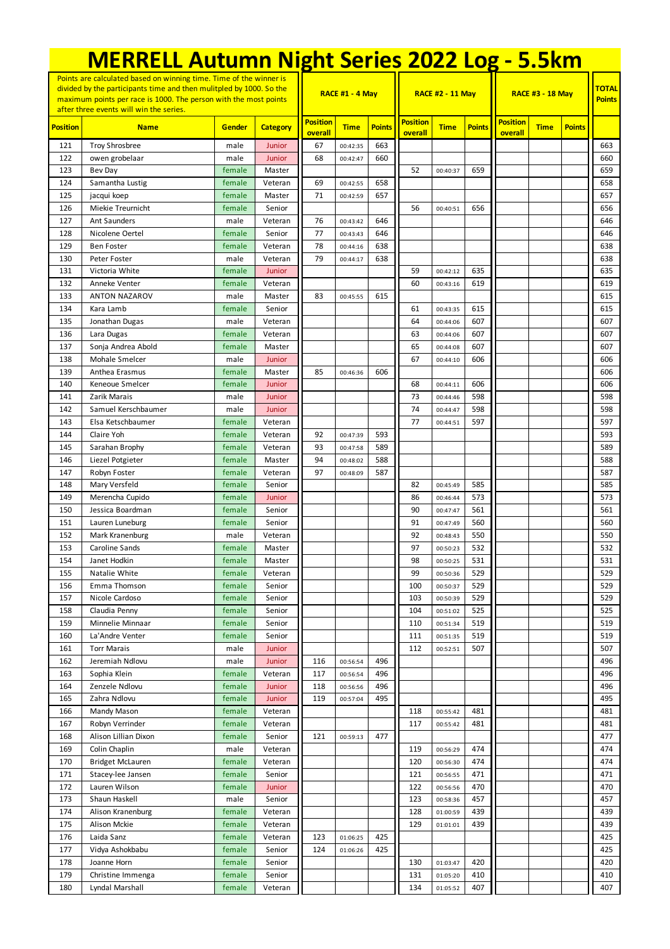| <b>MERRELL Autumn Night Series 2022 Log - 5.5km</b>                                                                                                                                                                                                      |                                        |                  |                    |                            |                        |               |                            |                         |               |                            |             |               |                               |
|----------------------------------------------------------------------------------------------------------------------------------------------------------------------------------------------------------------------------------------------------------|----------------------------------------|------------------|--------------------|----------------------------|------------------------|---------------|----------------------------|-------------------------|---------------|----------------------------|-------------|---------------|-------------------------------|
| Points are calculated based on winning time. Time of the winner is<br>divided by the participants time and then mulitpled by 1000. So the<br>maximum points per race is 1000. The person with the most points<br>after three events will win the series. |                                        |                  |                    |                            | <b>RACE #1 - 4 May</b> |               |                            | <b>RACE #2 - 11 May</b> |               | <b>RACE #3 - 18 May</b>    |             |               | <b>TOTAL</b><br><b>Points</b> |
| <b>Position</b>                                                                                                                                                                                                                                          | <b>Name</b>                            | Gender           | <b>Category</b>    | <b>Position</b><br>overall | <b>Time</b>            | <b>Points</b> | <b>Position</b><br>overall | <b>Time</b>             | <b>Points</b> | <b>Position</b><br>overall | <b>Time</b> | <b>Points</b> |                               |
| 121                                                                                                                                                                                                                                                      | <b>Troy Shrosbree</b>                  | male             | Junior             | 67                         | 00:42:35               | 663           |                            |                         |               |                            |             |               | 663                           |
| 122                                                                                                                                                                                                                                                      | owen grobelaar                         | male             | Junior             | 68                         | 00:42:47               | 660           |                            |                         |               |                            |             |               | 660                           |
| 123                                                                                                                                                                                                                                                      | Bev Day                                | female           | Master             |                            |                        |               | 52                         | 00:40:37                | 659           |                            |             |               | 659                           |
| 124                                                                                                                                                                                                                                                      | Samantha Lustig                        | female           | Veteran            | 69                         | 00:42:55               | 658           |                            |                         |               |                            |             |               | 658                           |
| 125                                                                                                                                                                                                                                                      | jacqui koep                            | female           | Master             | 71                         | 00:42:59               | 657           |                            |                         |               |                            |             |               | 657                           |
| 126                                                                                                                                                                                                                                                      | Miekie Treurnicht                      | female           | Senior             |                            |                        |               | 56                         | 00:40:51                | 656           |                            |             |               | 656                           |
| 127<br>128                                                                                                                                                                                                                                               | <b>Ant Saunders</b><br>Nicolene Oertel | male<br>female   | Veteran<br>Senior  | 76<br>77                   | 00:43:42<br>00:43:43   | 646<br>646    |                            |                         |               |                            |             |               | 646<br>646                    |
| 129                                                                                                                                                                                                                                                      | <b>Ben Foster</b>                      | female           | Veteran            | 78                         | 00:44:16               | 638           |                            |                         |               |                            |             |               | 638                           |
| 130                                                                                                                                                                                                                                                      | Peter Foster                           | male             | Veteran            | 79                         | 00:44:17               | 638           |                            |                         |               |                            |             |               | 638                           |
| 131                                                                                                                                                                                                                                                      | Victoria White                         | female           | Junior             |                            |                        |               | 59                         | 00:42:12                | 635           |                            |             |               | 635                           |
| 132                                                                                                                                                                                                                                                      | Anneke Venter                          | female           | Veteran            |                            |                        |               | 60                         | 00:43:16                | 619           |                            |             |               | 619                           |
| 133                                                                                                                                                                                                                                                      | <b>ANTON NAZAROV</b>                   | male             | Master             | 83                         | 00:45:55               | 615           |                            |                         |               |                            |             |               | 615                           |
| 134                                                                                                                                                                                                                                                      | Kara Lamb                              | female           | Senior             |                            |                        |               | 61                         | 00:43:35                | 615           |                            |             |               | 615                           |
| 135                                                                                                                                                                                                                                                      | Jonathan Dugas                         | male             | Veteran            |                            |                        |               | 64                         | 00:44:06                | 607           |                            |             |               | 607                           |
| 136                                                                                                                                                                                                                                                      | Lara Dugas                             | female           | Veteran            |                            |                        |               | 63                         | 00:44:06                | 607           |                            |             |               | 607                           |
| 137                                                                                                                                                                                                                                                      | Sonja Andrea Abold                     | female           | Master             |                            |                        |               | 65                         | 00:44:08                | 607           |                            |             |               | 607                           |
| 138                                                                                                                                                                                                                                                      | Mohale Smelcer                         | male             | Junior             |                            |                        |               | 67                         | 00:44:10                | 606           |                            |             |               | 606                           |
| 139                                                                                                                                                                                                                                                      | Anthea Erasmus                         | female           | Master             | 85                         | 00:46:36               | 606           |                            |                         |               |                            |             |               | 606                           |
| 140                                                                                                                                                                                                                                                      | Keneoue Smelcer                        | female           | Junior             |                            |                        |               | 68                         | 00:44:11                | 606           |                            |             |               | 606                           |
| 141                                                                                                                                                                                                                                                      | Zarik Marais                           | male             | Junior             |                            |                        |               | 73                         | 00:44:46                | 598           |                            |             |               | 598                           |
| 142                                                                                                                                                                                                                                                      | Samuel Kerschbaumer                    | male             | Junior             |                            |                        |               | 74<br>77                   | 00:44:47                | 598           |                            |             |               | 598<br>597                    |
| 143<br>144                                                                                                                                                                                                                                               | Elsa Ketschbaumer<br>Claire Yoh        | female<br>female | Veteran<br>Veteran | 92                         | 00:47:39               | 593           |                            | 00:44:51                | 597           |                            |             |               | 593                           |
| 145                                                                                                                                                                                                                                                      | Sarahan Brophy                         | female           | Veteran            | 93                         | 00:47:58               | 589           |                            |                         |               |                            |             |               | 589                           |
| 146                                                                                                                                                                                                                                                      | Liezel Potgieter                       | female           | Master             | 94                         | 00:48:02               | 588           |                            |                         |               |                            |             |               | 588                           |
| 147                                                                                                                                                                                                                                                      | Robyn Foster                           | female           | Veteran            | 97                         | 00:48:09               | 587           |                            |                         |               |                            |             |               | 587                           |
| 148                                                                                                                                                                                                                                                      | Mary Versfeld                          | female           | Senior             |                            |                        |               | 82                         | 00:45:49                | 585           |                            |             |               | 585                           |
| 149                                                                                                                                                                                                                                                      | Merencha Cupido                        | female           | Junior             |                            |                        |               | 86                         | 00:46:44                | 573           |                            |             |               | 573                           |
| 150                                                                                                                                                                                                                                                      | Jessica Boardman                       | female           | Senior             |                            |                        |               | 90                         | 00:47:47                | 561           |                            |             |               | 561                           |
| 151                                                                                                                                                                                                                                                      | Lauren Luneburg                        | female           | Senior             |                            |                        |               | 91                         | 00:47:49                | 560           |                            |             |               | 560                           |
| 152                                                                                                                                                                                                                                                      | Mark Kranenburg                        | male             | Veteran            |                            |                        |               | 92                         | 00:48:43                | 550           |                            |             |               | 550                           |
| 153                                                                                                                                                                                                                                                      | Caroline Sands                         | female           | Master             |                            |                        |               | 97                         | 00:50:23                | 532           |                            |             |               | 532                           |
| 154                                                                                                                                                                                                                                                      | Janet Hodkin                           | female           | Master             |                            |                        |               | 98                         | 00:50:25                | 531           |                            |             |               | 531                           |
| 155                                                                                                                                                                                                                                                      | Natalie White                          | female           | Veteran            |                            |                        |               | 99                         | 00:50:36                | 529           |                            |             |               | 529                           |
| 156<br>157                                                                                                                                                                                                                                               | Emma Thomson<br>Nicole Cardoso         | female<br>female | Senior<br>Senior   |                            |                        |               | 100<br>103                 | 00:50:37                | 529<br>529    |                            |             |               | 529<br>529                    |
| 158                                                                                                                                                                                                                                                      | Claudia Penny                          | female           | Senior             |                            |                        |               | 104                        | 00:50:39<br>00:51:02    | 525           |                            |             |               | 525                           |
| 159                                                                                                                                                                                                                                                      | Minnelie Minnaar                       | female           | Senior             |                            |                        |               | 110                        | 00:51:34                | 519           |                            |             |               | 519                           |
| 160                                                                                                                                                                                                                                                      | La'Andre Venter                        | female           | Senior             |                            |                        |               | 111                        | 00:51:35                | 519           |                            |             |               | 519                           |
| 161                                                                                                                                                                                                                                                      | <b>Torr Marais</b>                     | male             | Junior             |                            |                        |               | 112                        | 00:52:51                | 507           |                            |             |               | 507                           |
| 162                                                                                                                                                                                                                                                      | Jeremiah Ndlovu                        | male             | Junior             | 116                        | 00:56:54               | 496           |                            |                         |               |                            |             |               | 496                           |
| 163                                                                                                                                                                                                                                                      | Sophia Klein                           | female           | Veteran            | 117                        | 00:56:54               | 496           |                            |                         |               |                            |             |               | 496                           |
| 164                                                                                                                                                                                                                                                      | Zenzele Ndlovu                         | female           | Junior             | 118                        | 00:56:56               | 496           |                            |                         |               |                            |             |               | 496                           |
| 165                                                                                                                                                                                                                                                      | Zahra Ndlovu                           | female           | Junior             | 119                        | 00:57:04               | 495           |                            |                         |               |                            |             |               | 495                           |
| 166                                                                                                                                                                                                                                                      | Mandy Mason                            | female           | Veteran            |                            |                        |               | 118                        | 00:55:42                | 481           |                            |             |               | 481                           |
| 167                                                                                                                                                                                                                                                      | Robyn Verrinder                        | female           | Veteran            |                            |                        |               | 117                        | 00:55:42                | 481           |                            |             |               | 481                           |
| 168                                                                                                                                                                                                                                                      | Alison Lillian Dixon                   | female           | Senior             | 121                        | 00:59:13               | 477           |                            |                         |               |                            |             |               | 477                           |
| 169                                                                                                                                                                                                                                                      | Colin Chaplin                          | male             | Veteran            |                            |                        |               | 119                        | 00:56:29                | 474           |                            |             |               | 474                           |
| 170                                                                                                                                                                                                                                                      | <b>Bridget McLauren</b>                | female           | Veteran            |                            |                        |               | 120                        | 00:56:30                | 474           |                            |             |               | 474                           |
| 171                                                                                                                                                                                                                                                      | Stacey-lee Jansen                      | female           | Senior             |                            |                        |               | 121                        | 00:56:55                | 471           |                            |             |               | 471                           |
| 172<br>173                                                                                                                                                                                                                                               | Lauren Wilson<br>Shaun Haskell         | female           | Junior<br>Senior   |                            |                        |               | 122<br>123                 | 00:56:56                | 470<br>457    |                            |             |               | 470<br>457                    |
| 174                                                                                                                                                                                                                                                      | Alison Kranenburg                      | male<br>female   | Veteran            |                            |                        |               | 128                        | 00:58:36<br>01:00:59    | 439           |                            |             |               | 439                           |
| 175                                                                                                                                                                                                                                                      | Alison Mckie                           | female           | Veteran            |                            |                        |               | 129                        | 01:01:01                | 439           |                            |             |               | 439                           |
| 176                                                                                                                                                                                                                                                      | Laida Sanz                             | female           | Veteran            | 123                        | 01:06:25               | 425           |                            |                         |               |                            |             |               | 425                           |
| 177                                                                                                                                                                                                                                                      | Vidya Ashokbabu                        | female           | Senior             | 124                        | 01:06:26               | 425           |                            |                         |               |                            |             |               | 425                           |
| 178                                                                                                                                                                                                                                                      | Joanne Horn                            | female           | Senior             |                            |                        |               | 130                        | 01:03:47                | 420           |                            |             |               | 420                           |
| 179                                                                                                                                                                                                                                                      | Christine Immenga                      | female           | Senior             |                            |                        |               | 131                        | 01:05:20                | 410           |                            |             |               | 410                           |
| 180                                                                                                                                                                                                                                                      | Lyndal Marshall                        | female           | Veteran            |                            |                        |               | 134                        | 01:05:52                | 407           |                            |             |               | 407                           |